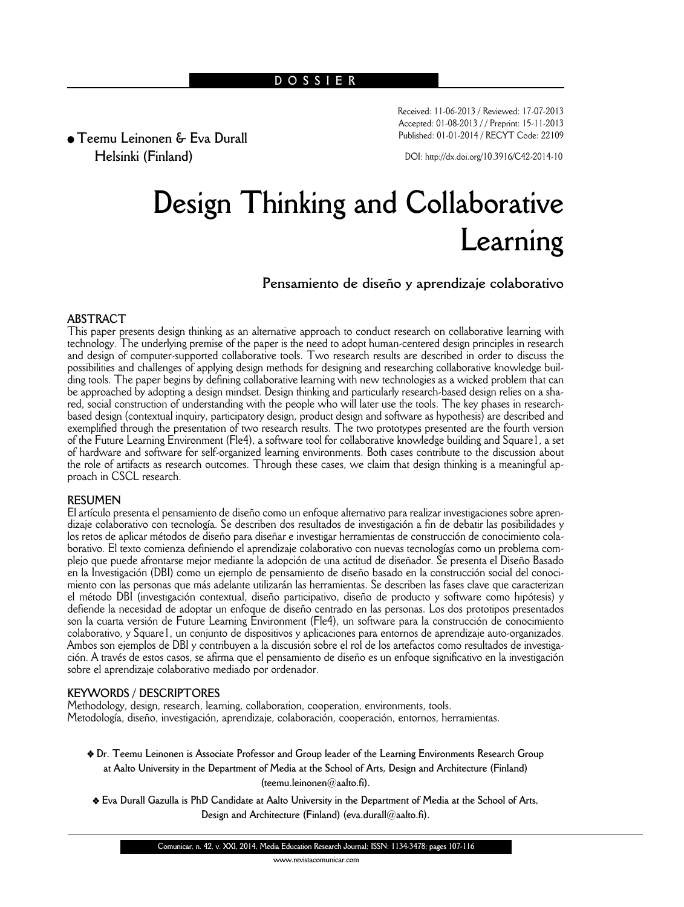# **DOSSIER**

Received: 11-06-2013 / Reviewed: 17-07-2013 Accepted: 01-08-2013 / / Preprint: 15-11-2013 Published: 01-01-2014 / RECYT Code: 22109

**• Teemu Leinonen & Eva Durall Helsinki (Finland)**

DOI: http://dx.doi.org/10.3916/C42-2014-10

# **Design Thinking and Collaborative Learning**

**Pensamiento de diseño y aprendizaje colaborativo**

# **ABSTRACT**

This paper presents design thinking as an alternative approach to conduct research on collaborative learning with technology. The underlying premise of the paper is the need to adopt human-centered design principles in research and design of computer-supported collaborative tools. Two research results are described in order to discuss the possibilities and challenges of applying design methods for designing and researching collaborative knowledge buil ding tools. The paper begins by defining collaborative learning with new technologies as a wicked problem that can be approached by adopting a design mindset. Design thinking and particularly research-based design relies on a shared, social construction of understanding with the people who will later use the tools. The key phases in researchbased design (contextual inquiry, participatory design, product design and software as hypothesis) are described and exemplified through the presentation of two research results. The two prototypes presented are the fourth version of the Future Learning Environment (Fle4), a software tool for collaborative knowledge building and Square1, a set of hardware and software for self-organized learning environments. Both cases contribute to the discussion about the role of artifacts as research outcomes. Through these cases, we claim that design thinking is a meaningful approach in CSCL research.

# **RESUMEN**

El artículo presenta el pensamiento de diseño como un enfoque alternativo para realizar investigaciones sobre aprendizaje colaborativo con tecnología. Se describen dos resultados de investigación a fin de debatir las posibilidades y los retos de aplicar métodos de diseño para diseñar e investigar herramientas de construcción de conocimiento colaborativo. El texto comienza definiendo el aprendizaje colaborativo con nuevas tecnologías como un problema complejo que puede afrontarse mejor mediante la adopción de una actitud de diseñador. Se presenta el Diseño Basado en la Investigación (DBI) como un ejemplo de pensamiento de diseño basado en la construcción social del conocimiento con las personas que más adelante utilizarán las herramientas. Se describen las fases clave que caracterizan el método DBI (investigación contextual, diseño participativo, diseño de producto y software como hipótesis) y defiende la necesidad de adoptar un enfoque de diseño centrado en las personas. Los dos prototipos presentados son la cuarta versión de Future Learning Environment (Fle4), un software para la construcción de conocimiento colaborativo, y Square1, un conjunto de dispositivos y aplicaciones para entornos de aprendizaje auto-organizados. Ambos son ejemplos de DBI y contribuyen a la discusión sobre el rol de los artefactos como resultados de investigación. A través de estos casos, se afirma que el pensamiento de diseño es un enfoque significativo en la investigación sobre el aprendizaje colaborativo mediado por ordenador.

# **KEYWORDS / DESCRIPTORES**

Methodology, design, research, learning, collaboration, cooperation, environments, tools. Metodología, diseño, investigación, aprendizaje, colaboración, cooperación, entornos, herramientas.

- v **Dr. Teemu Leinonen is Associate Professor and Group leader of the Learning Environments Research Group at Aalto University in the Department of Media at the School of Arts, Design and Architecture (Finland) (teemu.leinonen@aalto.fi).**
- v **Eva Durall Gazulla is PhD Candidate at Aalto University in the Department of Media at the School of Arts, Design and Architecture (Finland) (eva.durall@aalto.fi).**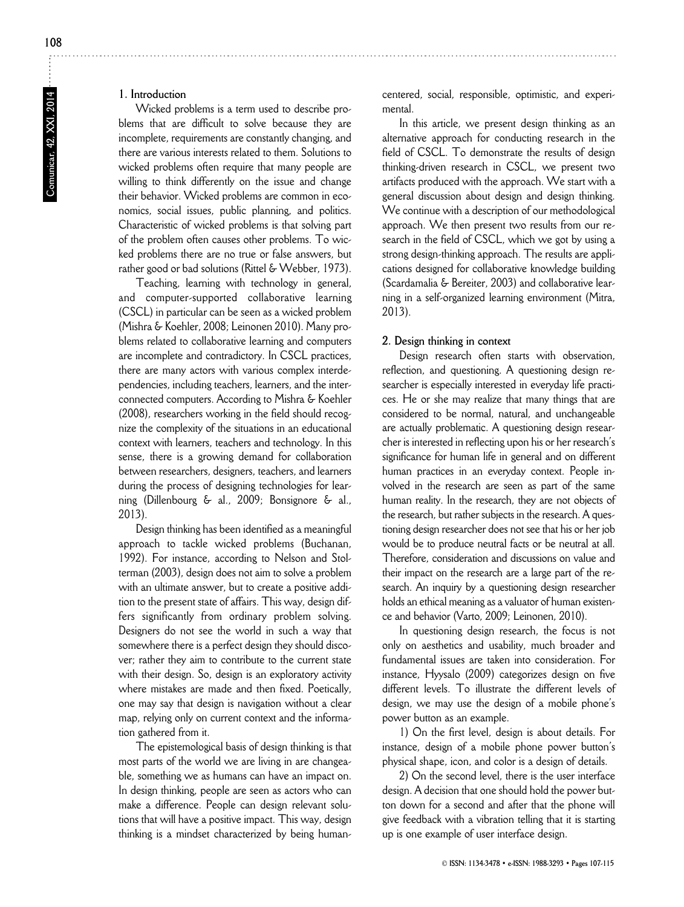# **1. Introduction**

Wicked problems is a term used to describe problems that are difficult to solve because they are incomplete, requirements are constantly changing, and there are various interests related to them. Solutions to wicked problems often require that many people are willing to think differently on the issue and change their behavior. Wicked problems are common in economics, social issues, public planning, and politics. Characteristic of wicked problems is that solving part of the problem often causes other problems. To wicked problems there are no true or false answers, but rather good or bad solutions (Rittel & Webber, 1973).

Teaching, learning with technology in general, and computer-supported collaborative learning (CSCL) in particular can be seen as a wicked problem (Mishra & Koehler, 2008; Leinonen 2010). Many problems related to collaborative learning and computers are incomplete and contradictory. In CSCL practices, there are many actors with various complex interdependencies, including teachers, learners, and the interconnected computers. According to Mishra & Koehler (2008), researchers working in the field should recognize the complexity of the situations in an educational context with learners, teachers and technology. In this sense, there is a growing demand for collaboration between researchers, designers, teachers, and learners during the process of designing technologies for learning (Dillenbourg & al., 2009; Bonsignore & al., 2013).

Design thinking has been identified as a meaningful approach to tackle wicked problems (Buchanan, 1992). For instance, according to Nelson and Stolterman (2003), design does not aim to solve a problem with an ultimate answer, but to create a positive addition to the present state of affairs. This way, design differs significantly from ordinary problem solving. Designers do not see the world in such a way that somewhere there is a perfect design they should discover; rather they aim to contribute to the current state with their design. So, design is an exploratory activity where mistakes are made and then fixed. Poetically, one may say that design is navigation without a clear map, relying only on current context and the information gathered from it.

The epistemological basis of design thinking is that most parts of the world we are living in are changeable, something we as humans can have an impact on. In design thinking, people are seen as actors who can make a difference. People can design relevant solutions that will have a positive impact. This way, design thinking is a mindset characterized by being humancentered, social, responsible, optimistic, and experimental.

In this article, we present design thinking as an alternative approach for conducting research in the field of CSCL. To demonstrate the results of design thinking-driven research in CSCL, we present two artifacts produced with the approach. We start with a general discussion about design and design thinking. We continue with a description of our methodological approach. We then present two results from our research in the field of CSCL, which we got by using a strong design-thinking approach. The results are applications designed for collaborative knowledge building (Scardamalia & Bereiter, 2003) and collaborative learning in a self-organized learning environment (Mitra, 2013).

## **2. Design thinking in context**

Design research often starts with observation, reflection, and questioning. A questioning design researcher is especially interested in everyday life practices. He or she may realize that many things that are considered to be normal, natural, and unchangeable are actually problematic. A questioning design researcher is interested in reflecting upon his or her research's significance for human life in general and on different human practices in an everyday context. People involved in the research are seen as part of the same human reality. In the research, they are not objects of the research, but rather subjects in the research. A questioning design researcher does not see that his or her job would be to produce neutral facts or be neutral at all. Therefore, consideration and discussions on value and their impact on the research are a large part of the research. An inquiry by a questioning design researcher holds an ethical meaning as a valuator of human existence and behavior (Varto, 2009; Leinonen, 2010).

In questioning design research, the focus is not only on aesthetics and usability, much broader and fundamental issues are taken into consideration. For instance, Hyysalo (2009) categorizes design on five different levels. To illustrate the different levels of design, we may use the design of a mobile phone's power button as an example.

1) On the first level, design is about details. For instance, design of a mobile phone power button's physical shape, icon, and color is a design of details.

2) On the second level, there is the user interface design. A decision that one should hold the power button down for a second and after that the phone will give feedback with a vibration telling that it is starting up is one example of user interface design.

Comunicar, 42, XXI, 2014 **Comunicar, 42, XXI, 2014**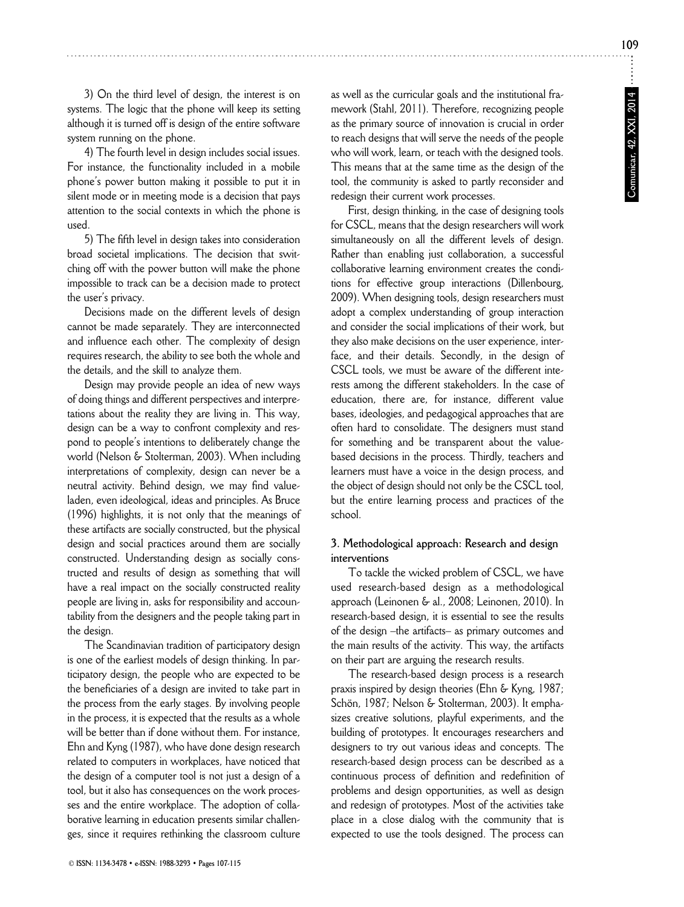3) On the third level of design, the interest is on systems. The logic that the phone will keep its setting although it is turned off is design of the entire software system running on the phone.

4) The fourth level in design includes social issues. For instance, the functionality included in a mobile phone's power button making it possible to put it in silent mode or in meeting mode is a decision that pays attention to the social contexts in which the phone is used.

5) The fifth level in design takes into consideration broad societal implications. The decision that switching off with the power button will make the phone impossible to track can be a decision made to protect the user's privacy.

Decisions made on the different levels of design cannot be made separately. They are interconnected and influence each other. The complexity of design requires research, the ability to see both the whole and the details, and the skill to analyze them.

Design may provide people an idea of new ways of doing things and different perspectives and interpretations about the reality they are living in. This way, design can be a way to confront complexity and respond to people's intentions to deliberately change the world (Nelson & Stolterman, 2003). When including interpretations of complexity, design can never be a neutral activity. Behind design, we may find valueladen, even ideological, ideas and principles. As Bruce (1996) highlights, it is not only that the meanings of these artifacts are socially constructed, but the physical design and social practices around them are socially constructed. Understanding design as socially constructed and results of design as something that will have a real impact on the socially constructed reality people are living in, asks for responsibility and accountability from the designers and the people taking part in the design.

The Scandinavian tradition of participatory design is one of the earliest models of design thinking. In participatory design, the people who are expected to be the beneficiaries of a design are invited to take part in the process from the early stages. By involving people in the process, it is expected that the results as a whole will be better than if done without them. For instance, Ehn and Kyng (1987), who have done design research related to computers in workplaces, have noticed that the design of a computer tool is not just a design of a tool, but it also has consequences on the work processes and the entire workplace. The adoption of collaborative learning in education presents similar challenges, since it requires rethinking the classroom culture as well as the curricular goals and the institutional framework (Stahl, 2011). Therefore, recognizing people as the primary source of innovation is crucial in order to reach designs that will serve the needs of the people who will work, learn, or teach with the designed tools. This means that at the same time as the design of the tool, the community is asked to partly reconsider and redesign their current work processes.

First, design thinking, in the case of designing tools for CSCL, means that the design researchers will work simultaneously on all the different levels of design. Rather than enabling just collaboration, a successful collaborative learning environment creates the conditions for effective group interactions (Dillenbourg, 2009). When designing tools, design researchers must adopt a complex understanding of group interaction and consider the social implications of their work, but they also make decisions on the user experience, interface, and their details. Secondly, in the design of CSCL tools, we must be aware of the different interests among the different stakeholders. In the case of education, there are, for instance, different value bases, ideologies, and pedagogical approaches that are often hard to consolidate. The designers must stand for something and be transparent about the valuebased decisions in the process. Thirdly, teachers and learners must have a voice in the design process, and the object of design should not only be the CSCL tool, but the entire learning process and practices of the school.

# **3. Methodological approach: Research and design interventions**

To tackle the wicked problem of CSCL, we have used research-based design as a methodological approach (Leinonen & al., 2008; Leinonen, 2010). In research-based design, it is essential to see the results of the design –the artifacts– as primary outcomes and the main results of the activity. This way, the artifacts on their part are arguing the research results.

The research-based design process is a research praxis inspired by design theories (Ehn & Kyng, 1987; Schön, 1987; Nelson & Stolterman, 2003). It emphasizes creative solutions, playful experiments, and the building of prototypes. It encourages researchers and designers to try out various ideas and concepts. The research-based design process can be described as a continuous process of definition and redefinition of problems and design opportunities, as well as design and redesign of prototypes. Most of the activities take place in a close dialog with the community that is expected to use the tools designed. The process can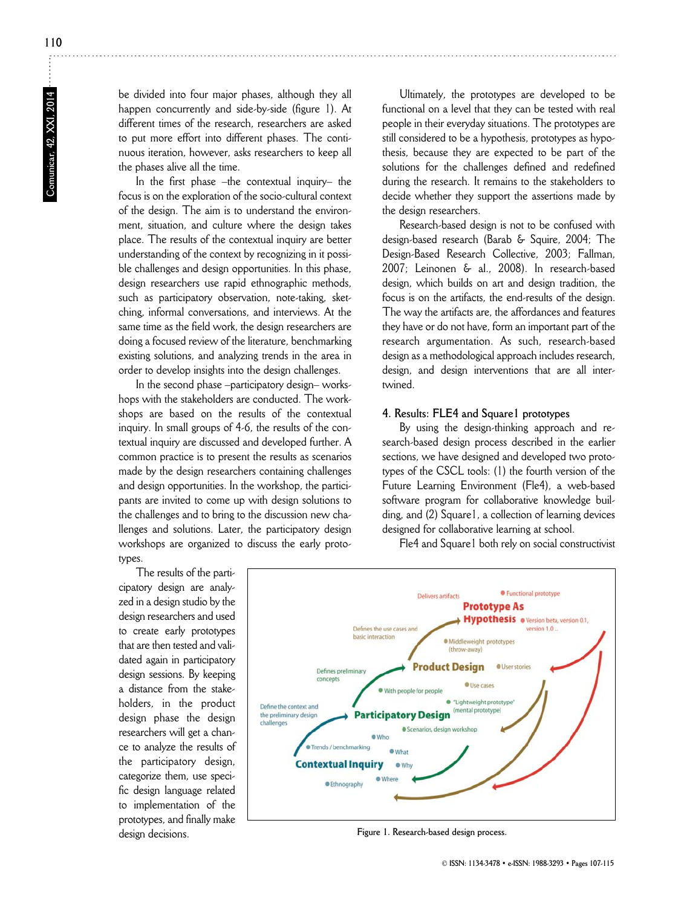**110**

be divided into four major phases, although they all happen concurrently and side-by-side (figure 1). At different times of the research, researchers are asked to put more effort into different phases. The continuous iteration, however, asks researchers to keep all the phases alive all the time.

In the first phase –the contextual inquiry– the focus is on the exploration of the socio-cultural context of the design. The aim is to understand the environment, situation, and culture where the design takes place. The results of the contextual inquiry are better understanding of the context by recognizing in it possible challenges and design opportunities. In this phase, design researchers use rapid ethnographic methods, such as participatory observation, note-taking, sketching, informal conversations, and interviews. At the same time as the field work, the design researchers are doing a focused review of the literature, benchmarking existing solutions, and analyzing trends in the area in order to develop insights into the design challenges.

In the second phase –participatory design– workshops with the stakeholders are conducted. The workshops are based on the results of the contextual inquiry. In small groups of 4-6, the results of the contextual inquiry are discussed and developed further. A common practice is to present the results as scenarios made by the design researchers containing challenges and design opportunities. In the workshop, the participants are invited to come up with design solutions to the challenges and to bring to the discussion new challenges and solutions. Later, the participatory design workshops are organized to discuss the early prototypes.

The results of the participatory design are analyzed in a design studio by the design researchers and used to create early prototypes that are then tested and validated again in participatory design sessions. By keeping a distance from the stakeholders, in the product design phase the design researchers will get a chance to analyze the results of the participatory design, categorize them, use specific design language related to implementation of the prototypes, and finally make design decisions.

Ultimately, the prototypes are developed to be functional on a level that they can be tested with real people in their everyday situations. The prototypes are still considered to be a hypothesis, prototypes as hypothesis, because they are expected to be part of the solutions for the challenges defined and redefined during the research. It remains to the stakeholders to decide whether they support the assertions made by the design researchers.

Research-based design is not to be confused with design-based research (Barab & Squire, 2004; The Design-Based Research Collective, 2003; Fallman, 2007; Leinonen & al., 2008). In research-based design, which builds on art and design tradition, the focus is on the artifacts, the end-results of the design. The way the artifacts are, the affordances and features they have or do not have, form an important part of the research argumentation. As such, research-based design as a methodological approach includes research, design, and design interventions that are all intertwined.

#### **4. Results: FLE4 and Square1 prototypes**

By using the design-thinking approach and research-based design process described in the earlier sections, we have designed and developed two prototypes of the CSCL tools: (1) the fourth version of the Future Learning Environment (Fle4), a web-based software program for collaborative knowledge building, and (2) Square1, a collection of learning devices designed for collaborative learning at school.

Fle4 and Square1 both rely on social constructivist



**Figure 1. Research-based design process.**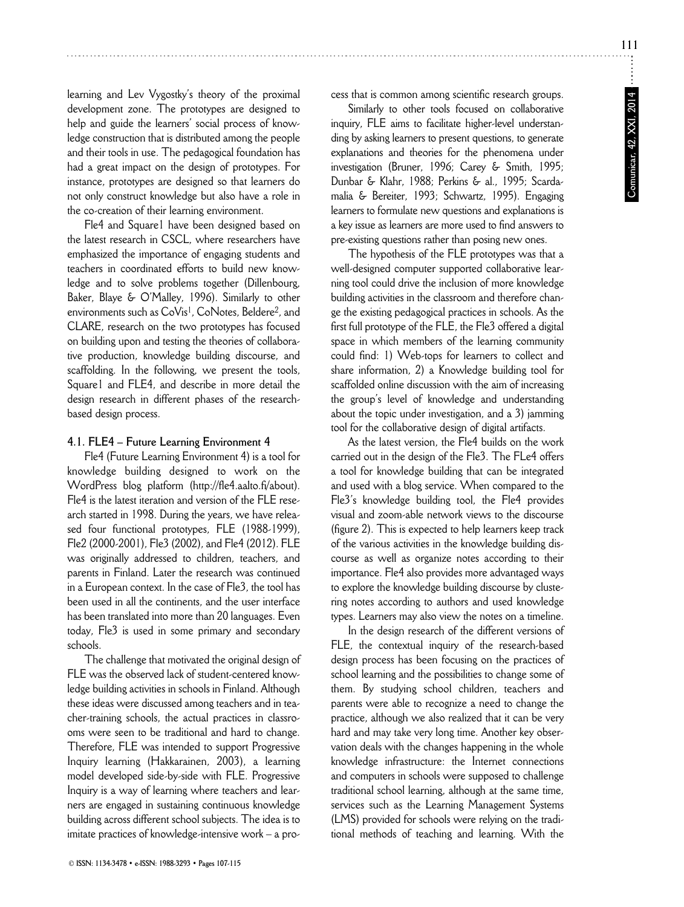learning and Lev Vygostky's theory of the proximal development zone. The prototypes are designed to help and guide the learners' social process of knowledge construction that is distributed among the people and their tools in use. The pedagogical foundation has had a great impact on the design of prototypes. For instance, prototypes are designed so that learners do not only construct knowledge but also have a role in the co-creation of their learning environment.

Fle4 and Square1 have been designed based on the latest research in CSCL, where researchers have emphasized the importance of engaging students and teachers in coordinated efforts to build new knowledge and to solve problems together (Dillenbourg, Baker, Blaye & O'Malley, 1996). Similarly to other environments such as CoVis<sup>1</sup>, CoNotes, Beldere<sup>2</sup>, and CLARE, research on the two prototypes has focused on building upon and testing the theories of collaborative production, knowledge building discourse, and scaffolding. In the following, we present the tools, Square1 and FLE4, and describe in more detail the design research in different phases of the researchbased design process.

#### **4.1. FLE4 – Future Learning Environment 4**

Fle4 (Future Learning Environment 4) is a tool for knowledge building designed to work on the WordPress blog platform (http://fle4.aalto.fi/about). Fle4 is the latest iteration and version of the FLE research started in 1998. During the years, we have released four functional prototypes, FLE (1988-1999), Fle2 (2000-2001), Fle3 (2002), and Fle4 (2012). FLE was originally addressed to children, teachers, and parents in Finland. Later the research was continued in a European context. In the case of Fle3, the tool has been used in all the continents, and the user interface has been translated into more than 20 languages. Even today, Fle3 is used in some primary and secondary schools.

The challenge that motivated the original design of FLE was the observed lack of student-centered knowledge building activities in schools in Finland. Although these ideas were discussed among teachers and in teacher-training schools, the actual practices in classrooms were seen to be traditional and hard to change. Therefore, FLE was intended to support Progressive Inquiry learning (Hakkarainen, 2003), a learning model developed side-by-side with FLE. Progressive Inquiry is a way of learning where teachers and learners are engaged in sustaining continuous knowledge building across different school subjects. The idea is to imitate practices of knowledge-intensive work – a process that is common among scientific research groups.

Similarly to other tools focused on collaborative inquiry, FLE aims to facilitate higher-level understanding by asking learners to present questions, to generate explanations and theories for the phenomena under investigation (Bruner, 1996; Carey & Smith, 1995; Dunbar & Klahr, 1988; Perkins & al., 1995; Scardamalia & Bereiter, 1993; Schwartz, 1995). Engaging learners to formulate new questions and explanations is a key issue as learners are more used to find answers to pre-existing questions rather than posing new ones.

The hypothesis of the FLE prototypes was that a well-designed computer supported collaborative learning tool could drive the inclusion of more knowledge building activities in the classroom and therefore change the existing pedagogical practices in schools. As the first full prototype of the FLE, the Fle3 offered a digital space in which members of the learning community could find: 1) Web-tops for learners to collect and share information, 2) a Knowledge building tool for scaffolded online discussion with the aim of increasing the group's level of knowledge and understanding about the topic under investigation, and a 3) jamming tool for the collaborative design of digital artifacts.

As the latest version, the Fle4 builds on the work carried out in the design of the Fle3. The FLe4 offers a tool for knowledge building that can be integrated and used with a blog service. When compared to the Fle3's knowledge building tool, the Fle4 provides visual and zoom-able network views to the discourse (figure 2). This is expected to help learners keep track of the various activities in the knowledge building discourse as well as organize notes according to their importance. Fle4 also provides more advantaged ways to explore the knowledge building discourse by clustering notes according to authors and used knowledge types. Learners may also view the notes on a timeline.

In the design research of the different versions of FLE, the contextual inquiry of the research-based design process has been focusing on the practices of school learning and the possibilities to change some of them. By studying school children, teachers and parents were able to recognize a need to change the practice, although we also realized that it can be very hard and may take very long time. Another key observation deals with the changes happening in the whole knowledge infrastructure: the Internet connections and computers in schools were supposed to challenge traditional school learning, although at the same time, services such as the Learning Management Systems (LMS) provided for schools were relying on the traditional methods of teaching and learning. With the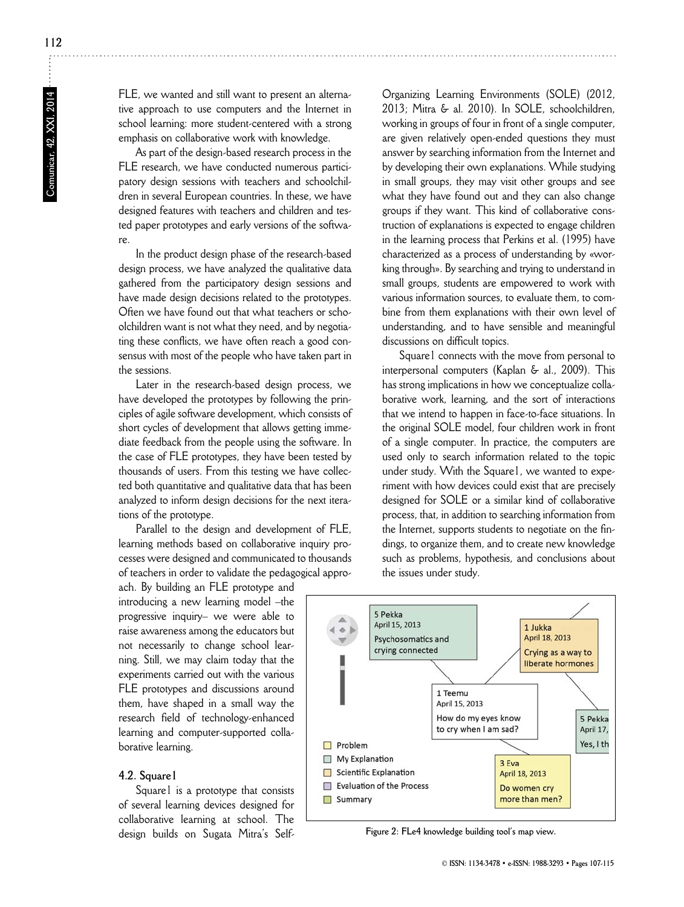FLE, we wanted and still want to present an alternative approach to use computers and the Internet in school learning: more student-centered with a strong emphasis on collaborative work with knowledge.

As part of the design-based research process in the FLE research, we have conducted numerous participatory design sessions with teachers and schoolchildren in several European countries. In these, we have designed features with teachers and children and tested paper prototypes and early versions of the software.

In the product design phase of the research-based design process, we have analyzed the qualitative data gathered from the participatory design sessions and have made design decisions related to the prototypes. Often we have found out that what teachers or schoolchildren want is not what they need, and by negotiating these conflicts, we have often reach a good consensus with most of the people who have taken part in the sessions.

Later in the research-based design process, we have developed the prototypes by following the principles of agile software development, which consists of short cycles of development that allows getting immediate feedback from the people using the software. In the case of FLE prototypes, they have been tested by thousands of users. From this testing we have collected both quantitative and qualitative data that has been analyzed to inform design decisions for the next iterations of the prototype.

Parallel to the design and development of FLE, learning methods based on collaborative inquiry processes were designed and communicated to thousands of teachers in order to validate the pedagogical appro-

Organizing Learning Environments (SOLE) (2012, 2013; Mitra & al. 2010). In SOLE, schoolchildren, working in groups of four in front of a single computer, are given relatively open-ended questions they must answer by searching information from the Internet and by developing their own explanations. While studying in small groups, they may visit other groups and see what they have found out and they can also change groups if they want. This kind of collaborative construction of explanations is expected to engage children in the learning process that Perkins et al. (1995) have characterized as a process of understanding by «working through». By searching and trying to understand in small groups, students are empowered to work with various information sources, to evaluate them, to combine from them explanations with their own level of understanding, and to have sensible and meaningful discussions on difficult topics.

Square1 connects with the move from personal to interpersonal computers (Kaplan & al., 2009). This has strong implications in how we conceptualize collaborative work, learning, and the sort of interactions that we intend to happen in face-to-face situations. In the original SOLE model, four children work in front of a single computer. In practice, the computers are used only to search information related to the topic under study. With the Square1, we wanted to experiment with how devices could exist that are precisely designed for SOLE or a similar kind of collaborative process, that, in addition to searching information from the Internet, supports students to negotiate on the findings, to organize them, and to create new knowledge such as problems, hypothesis, and conclusions about the issues under study.

5 Pekka April 15, 2013 1 Jukka April 18, 2013 Psychosomatics and crying connected Crying as a way to liberate hormones 1 Teemu April 15, 2013 How do my eyes know 5 Pekka to cry when I am sad? April 17, Yes, I th  $\Box$  Problem My Explanation 3 Eva Scientific Explanation  $\Box$ April 18, 2013  $\blacksquare$ **Evaluation of the Process** Do women cry  $\Box$  Summary more than men?

**Figure 2: FLe4 knowledge building tool's map view.**

ach. By building an FLE prototype and introducing a new learning model –the progressive inquiry– we were able to raise awareness among the educators but not necessarily to change school learning. Still, we may claim today that the experiments carried out with the various FLE prototypes and discussions around them, have shaped in a small way the research field of technology-enhanced learning and computer-supported collaborative learning.

## **4.2. Square1**

Square1 is a prototype that consists of several learning devices designed for collaborative learning at school. The design builds on Sugata Mitra's Self-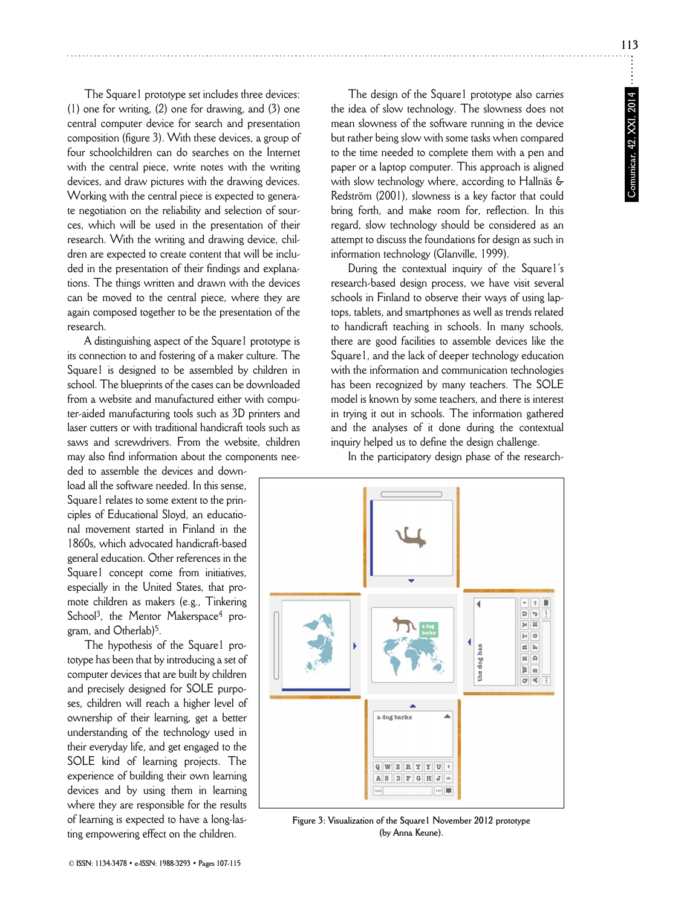**113**

The Square1 prototype set includes three devices: (1) one for writing, (2) one for drawing, and (3) one central computer device for search and presentation composition (figure 3). With these devices, a group of four schoolchildren can do searches on the Internet with the central piece, write notes with the writing devices, and draw pictures with the drawing devices. Working with the central piece is expected to generate negotiation on the reliability and selection of sources, which will be used in the presentation of their research. With the writing and drawing device, children are expected to create content that will be included in the presentation of their findings and explanations. The things written and drawn with the devices can be moved to the central piece, where they are again composed together to be the presentation of the research.

A distinguishing aspect of the Square1 prototype is its connection to and fostering of a maker culture. The Square1 is designed to be assembled by children in school. The blueprints of the cases can be downloaded from a website and manufactured either with computer-aided manufacturing tools such as 3D printers and laser cutters or with traditional handicraft tools such as saws and screwdrivers. From the website, children may also find information about the components nee-

ded to assemble the devices and download all the software needed. In this sense, Square1 relates to some extent to the principles of Educational Sloyd, an educational movement started in Finland in the 1860s, which advocated handicraft-based general education. Other references in the Square1 concept come from initiatives, especially in the United States, that promote children as makers (e.g., Tinkering School<sup>3</sup>, the Mentor Maker space<sup>4</sup> program, and Otherlab)5.

The hypothesis of the Square1 prototype has been that by introducing a set of computer devices that are built by children and precisely designed for SOLE purposes, children will reach a higher level of ownership of their learning, get a better understanding of the technology used in their everyday life, and get engaged to the SOLE kind of learning projects. The experience of building their own learning devices and by using them in learning where they are responsible for the results of learning is expected to have a long-lasting empowering effect on the children.

The design of the Square1 prototype also carries the idea of slow technology. The slowness does not mean slowness of the software running in the device but rather being slow with some tasks when compared to the time needed to complete them with a pen and paper or a laptop computer. This approach is aligned with slow technology where, according to Hallnäs & Redström (2001), slowness is a key factor that could bring forth, and make room for, reflection. In this regard, slow technology should be considered as an attempt to discuss the foundations for design as such in information technology (Glanville, 1999).

During the contextual inquiry of the Square1's research-based design process, we have visit several schools in Finland to observe their ways of using laptops, tablets, and smartphones as well as trends related to handicraft teaching in schools. In many schools, there are good facilities to assemble devices like the Square1, and the lack of deeper technology education with the information and communication technologies has been recognized by many teachers. The SOLE model is known by some teachers, and there is interest in trying it out in schools. The information gathered and the analyses of it done during the contextual inquiry helped us to define the design challenge.

In the participatory design phase of the research-



**Figure 3: Visualization of the Square1 November 2012 prototype (by Anna Keune).**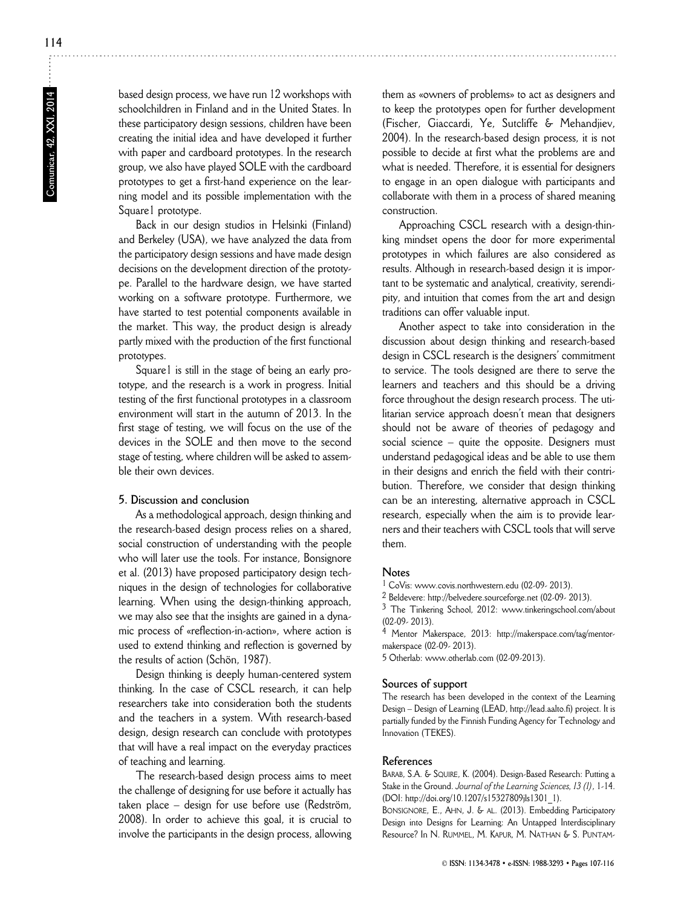based design process, we have run 12 workshops with schoolchildren in Finland and in the United States. In these participatory design sessions, children have been creating the initial idea and have developed it further with paper and cardboard prototypes. In the research group, we also have played SOLE with the cardboard prototypes to get a first-hand experience on the learning model and its possible implementation with the Square1 prototype.

Back in our design studios in Helsinki (Finland) and Berkeley (USA), we have analyzed the data from the participatory design sessions and have made design decisions on the development direction of the prototype. Parallel to the hardware design, we have started working on a software prototype. Furthermore, we have started to test potential components available in the market. This way, the product design is already partly mixed with the production of the first functional prototypes.

Square1 is still in the stage of being an early prototype, and the research is a work in progress. Initial testing of the first functional prototypes in a classroom environment will start in the autumn of 2013. In the first stage of testing, we will focus on the use of the devices in the SOLE and then move to the second stage of testing, where children will be asked to assemble their own devices.

# **5. Discussion and conclusion**

As a methodological approach, design thinking and the research-based design process relies on a shared, social construction of understanding with the people who will later use the tools. For instance, Bonsignore et al. (2013) have proposed participatory design techniques in the design of technologies for collaborative learning. When using the design-thinking approach, we may also see that the insights are gained in a dynamic process of «reflection-in-action», where action is used to extend thinking and reflection is governed by the results of action (Schön, 1987).

Design thinking is deeply human-centered system thinking. In the case of CSCL research, it can help researchers take into consideration both the students and the teachers in a system. With research-based design, design research can conclude with prototypes that will have a real impact on the everyday practices of teaching and learning.

The research-based design process aims to meet the challenge of designing for use before it actually has taken place – design for use before use (Redström, 2008). In order to achieve this goal, it is crucial to involve the participants in the design process, allowing

them as «owners of problems» to act as designers and to keep the prototypes open for further development (Fischer, Giaccardi, Ye, Sutcliffe & Mehandjiev, 2004). In the research-based design process, it is not possible to decide at first what the problems are and what is needed. Therefore, it is essential for designers to engage in an open dialogue with participants and collaborate with them in a process of shared meaning construction.

Approaching CSCL research with a design-thinking mindset opens the door for more experimental prototypes in which failures are also considered as results. Although in research-based design it is important to be systematic and analytical, creativity, serendipity, and intuition that comes from the art and design traditions can offer valuable input.

Another aspect to take into consideration in the discussion about design thinking and research-based design in CSCL research is the designers' commitment to service. The tools designed are there to serve the learners and teachers and this should be a driving force throughout the design research process. The utilitarian service approach doesn't mean that designers should not be aware of theories of pedagogy and social science – quite the opposite. Designers must understand pedagogical ideas and be able to use them in their designs and enrich the field with their contribution. Therefore, we consider that design thinking can be an interesting, alternative approach in CSCL research, especially when the aim is to provide learners and their teachers with CSCL tools that will serve them.

## **Notes**

1 CoVis: www.covis.northwestern.edu (02-09- 2013).

2 Beldevere: http://belvedere.sourceforge.net (02-09- 2013).

3 The Tinkering School, 2012: www.tinkeringschool.com/about (02-09- 2013).

4 Mentor Makerspace, 2013: http://makerspace.com/tag/mentormakerspace (02-09- 2013).

5 Otherlab: www.otherlab.com (02-09-2013).

## **Sources of support**

The research has been developed in the context of the Learning Design – Design of Learning (LEAD, http://lead.aalto.fi) project. It is partially funded by the Finnish Funding Agency for Technology and Innovation (TEKES).

#### **References**

BARAB, S.A. & SQUIRE, K. (2004). Design-Based Research: Putting a Stake in the Ground. *Journal of the Learning Sciences, 13 (1)*, 1-14. (DOI: http://doi.org/10.1207/s15327809jls1301\_1).

BONSIGNORE, E., AHN, J. & AL. (2013). Embedding Participatory Design into Designs for Learning: An Untapped Interdisciplinary Resource? In N. RUMMEL, M. KAPUR, M. NATHAN & S. PUNTAM-